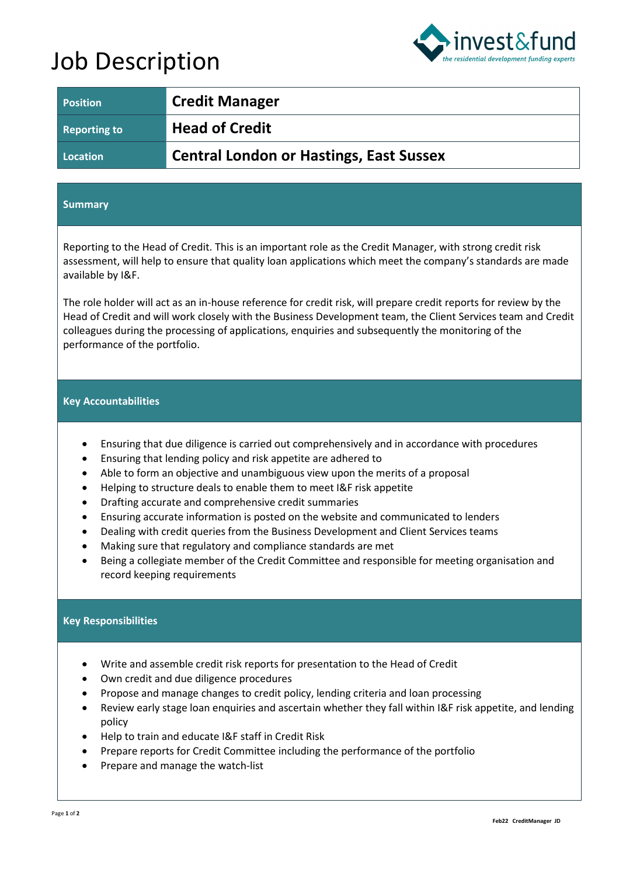# Job Description



| <b>Position</b>     | <b>Credit Manager</b>                          |
|---------------------|------------------------------------------------|
| <b>Reporting to</b> | <b>Head of Credit</b>                          |
| Location            | <b>Central London or Hastings, East Sussex</b> |

#### **Summary**

Reporting to the Head of Credit. This is an important role as the Credit Manager, with strong credit risk assessment, will help to ensure that quality loan applications which meet the company's standards are made available by I&F.

The role holder will act as an in-house reference for credit risk, will prepare credit reports for review by the Head of Credit and will work closely with the Business Development team, the Client Services team and Credit colleagues during the processing of applications, enquiries and subsequently the monitoring of the performance of the portfolio.

#### **Key Accountabilities**

- Ensuring that due diligence is carried out comprehensively and in accordance with procedures
- Ensuring that lending policy and risk appetite are adhered to
- Able to form an objective and unambiguous view upon the merits of a proposal
- Helping to structure deals to enable them to meet I&F risk appetite
- Drafting accurate and comprehensive credit summaries
- Ensuring accurate information is posted on the website and communicated to lenders
- Dealing with credit queries from the Business Development and Client Services teams
- Making sure that regulatory and compliance standards are met
- Being a collegiate member of the Credit Committee and responsible for meeting organisation and record keeping requirements

### **Key Responsibilities**

- Write and assemble credit risk reports for presentation to the Head of Credit
- Own credit and due diligence procedures
- Propose and manage changes to credit policy, lending criteria and loan processing
- Review early stage loan enquiries and ascertain whether they fall within I&F risk appetite, and lending policy
- Help to train and educate I&F staff in Credit Risk
- Prepare reports for Credit Committee including the performance of the portfolio
- Prepare and manage the watch-list